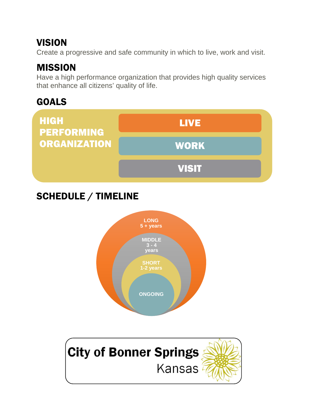#### VISION

Create a progressive and safe community in which to live, work and visit.

### MISSION

Have a high performance organization that provides high quality services that enhance all citizens' quality of life.

## GOALS



# SCHEDULE / TIMELINE



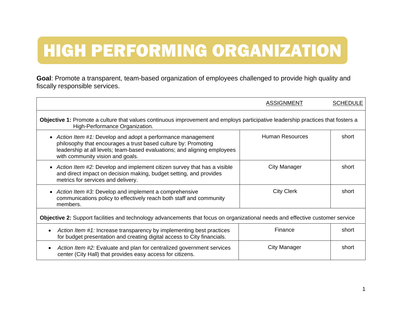# HIGH PERFORMING ORGANIZATION

**Goal**: Promote a transparent, team-based organization of employees challenged to provide high quality and fiscally responsible services.

|                                                                                                                                                                                                                                                | <b>ASSIGNMENT</b>      | <b>SCHEDULE</b> |  |
|------------------------------------------------------------------------------------------------------------------------------------------------------------------------------------------------------------------------------------------------|------------------------|-----------------|--|
| Objective 1: Promote a culture that values continuous improvement and employs participative leadership practices that fosters a<br>High-Performance Organization.                                                                              |                        |                 |  |
| • Action Item #1: Develop and adopt a performance management<br>philosophy that encourages a trust based culture by: Promoting<br>leadership at all levels; team-based evaluations; and aligning employees<br>with community vision and goals. | <b>Human Resources</b> | short           |  |
| • Action Item #2: Develop and implement citizen survey that has a visible<br>and direct impact on decision making, budget setting, and provides<br>metrics for services and delivery.                                                          | <b>City Manager</b>    | short           |  |
| • Action Item #3: Develop and implement a comprehensive<br>communications policy to effectively reach both staff and community<br>members.                                                                                                     | <b>City Clerk</b>      | short           |  |
| Objective 2: Support facilities and technology advancements that focus on organizational needs and effective customer service                                                                                                                  |                        |                 |  |
| Action Item #1: Increase transparency by implementing best practices<br>for budget presentation and creating digital access to City financials.                                                                                                | Finance                | short           |  |
| Action Item #2: Evaluate and plan for centralized government services<br>center (City Hall) that provides easy access for citizens.                                                                                                            | City Manager           | short           |  |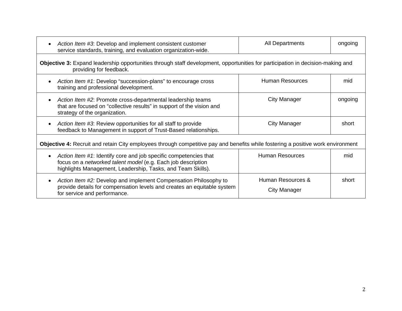|                                                                                                                                                           | Action Item #3: Develop and implement consistent customer<br>service standards, training, and evaluation organization-wide.                                                                     | All Departments                   | ongoing |
|-----------------------------------------------------------------------------------------------------------------------------------------------------------|-------------------------------------------------------------------------------------------------------------------------------------------------------------------------------------------------|-----------------------------------|---------|
| Objective 3: Expand leadership opportunities through staff development, opportunities for participation in decision-making and<br>providing for feedback. |                                                                                                                                                                                                 |                                   |         |
|                                                                                                                                                           | Action Item #1: Develop "succession-plans" to encourage cross<br>training and professional development.                                                                                         | <b>Human Resources</b>            | mid     |
|                                                                                                                                                           | Action Item #2: Promote cross-departmental leadership teams<br>that are focused on "collective results" in support of the vision and<br>strategy of the organization.                           | City Manager                      | ongoing |
|                                                                                                                                                           | Action Item #3: Review opportunities for all staff to provide<br>feedback to Management in support of Trust-Based relationships.                                                                | <b>City Manager</b>               | short   |
| <b>Objective 4:</b> Recruit and retain City employees through competitive pay and benefits while fostering a positive work environment                    |                                                                                                                                                                                                 |                                   |         |
|                                                                                                                                                           | Action Item #1: Identify core and job specific competencies that<br>focus on a networked talent model (e.g. Each job description<br>highlights Management, Leadership, Tasks, and Team Skills). | <b>Human Resources</b>            | mid     |
|                                                                                                                                                           | Action Item #2: Develop and implement Compensation Philosophy to<br>provide details for compensation levels and creates an equitable system<br>for service and performance.                     | Human Resources &<br>City Manager | short   |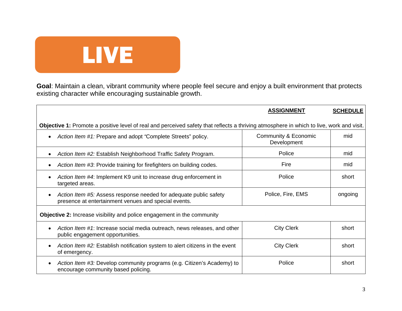

**Goal**: Maintain a clean, vibrant community where people feel secure and enjoy a built environment that protects existing character while encouraging sustainable growth.

|                                                                                                                                          | <b>ASSIGNMENT</b>                   | <b>SCHEDULE</b> |  |
|------------------------------------------------------------------------------------------------------------------------------------------|-------------------------------------|-----------------|--|
| Objective 1: Promote a positive level of real and perceived safety that reflects a thriving atmosphere in which to live, work and visit. |                                     |                 |  |
| Action Item #1: Prepare and adopt "Complete Streets" policy.<br>$\bullet$                                                                | Community & Economic<br>Development | mid             |  |
| Action Item #2: Establish Neighborhood Traffic Safety Program.<br>$\bullet$                                                              | Police                              | mid             |  |
| Action Item #3: Provide training for firefighters on building codes.<br>$\bullet$                                                        | Fire                                | mid             |  |
| Action Item #4: Implement K9 unit to increase drug enforcement in<br>$\bullet$<br>targeted areas.                                        | Police                              | short           |  |
| Action Item #5: Assess response needed for adequate public safety<br>$\bullet$<br>presence at entertainment venues and special events.   | Police, Fire, EMS                   | ongoing         |  |
| <b>Objective 2:</b> Increase visibility and police engagement in the community                                                           |                                     |                 |  |
| Action Item #1: Increase social media outreach, news releases, and other<br>$\bullet$<br>public engagement opportunities.                | <b>City Clerk</b>                   | short           |  |
| Action Item #2: Establish notification system to alert citizens in the event<br>$\bullet$<br>of emergency.                               | <b>City Clerk</b>                   | short           |  |
| Action Item #3: Develop community programs (e.g. Citizen's Academy) to<br>$\bullet$<br>encourage community based policing.               | Police                              | short           |  |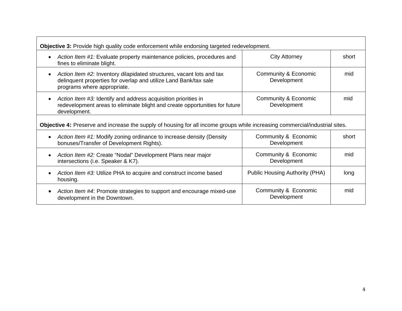| <b>Objective 3:</b> Provide high quality code enforcement while endorsing targeted redevelopment.                                                                                     |                                     |       |  |
|---------------------------------------------------------------------------------------------------------------------------------------------------------------------------------------|-------------------------------------|-------|--|
| Action Item #1: Evaluate property maintenance policies, procedures and<br>fines to eliminate blight.                                                                                  | <b>City Attorney</b>                | short |  |
| Action Item #2: Inventory dilapidated structures, vacant lots and tax<br>$\bullet$<br>delinquent properties for overlap and utilize Land Bank/tax sale<br>programs where appropriate. | Community & Economic<br>Development | mid   |  |
| Action Item #3: Identify and address acquisition priorities in<br>$\bullet$<br>redevelopment areas to eliminate blight and create opportunities for future<br>development.            | Community & Economic<br>Development | mid   |  |
| Objective 4: Preserve and increase the supply of housing for all income groups while increasing commercial/industrial sites.                                                          |                                     |       |  |
| Action Item #1: Modify zoning ordinance to increase density (Density<br>$\bullet$<br>bonuses/Transfer of Development Rights).                                                         | Community & Economic<br>Development | short |  |
| Action Item #2: Create "Nodal" Development Plans near major<br>intersections (i.e. Speaker & K7).                                                                                     | Community & Economic<br>Development | mid   |  |
| Action Item #3: Utilize PHA to acquire and construct income based<br>housing.                                                                                                         | Public Housing Authority (PHA)      | long  |  |
| Action Item #4: Promote strategies to support and encourage mixed-use<br>$\bullet$<br>development in the Downtown.                                                                    | Community & Economic<br>Development | mid   |  |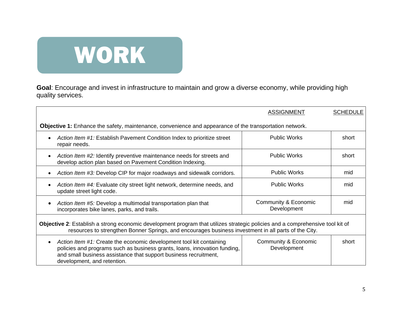

**Goal**: Encourage and invest in infrastructure to maintain and grow a diverse economy, while providing high quality services.

|                                                                                                                                                                                                                                                     | <b>ASSIGNMENT</b>                   | <b>SCHEDULE</b> |
|-----------------------------------------------------------------------------------------------------------------------------------------------------------------------------------------------------------------------------------------------------|-------------------------------------|-----------------|
| <b>Objective 1:</b> Enhance the safety, maintenance, convenience and appearance of the transportation network.                                                                                                                                      |                                     |                 |
| Action Item #1: Establish Pavement Condition Index to prioritize street<br>repair needs.                                                                                                                                                            | <b>Public Works</b>                 | short           |
| Action Item #2: Identify preventive maintenance needs for streets and<br>develop action plan based on Pavement Condition Indexing.                                                                                                                  | <b>Public Works</b>                 | short           |
| Action Item #3: Develop CIP for major roadways and sidewalk corridors.                                                                                                                                                                              | <b>Public Works</b>                 | mid             |
| Action Item #4: Evaluate city street light network, determine needs, and<br>update street light code.                                                                                                                                               | <b>Public Works</b>                 | mid             |
| Action Item #5: Develop a multimodal transportation plan that<br>incorporates bike lanes, parks, and trails.                                                                                                                                        | Community & Economic<br>Development | mid             |
| Objective 2: Establish a strong economic development program that utilizes strategic policies and a comprehensive tool kit of<br>resources to strengthen Bonner Springs, and encourages business investment in all parts of the City.               |                                     |                 |
| Action Item #1: Create the economic development tool kit containing<br>policies and programs such as business grants, loans, innovation funding,<br>and small business assistance that support business recruitment,<br>development, and retention. | Community & Economic<br>Development | short           |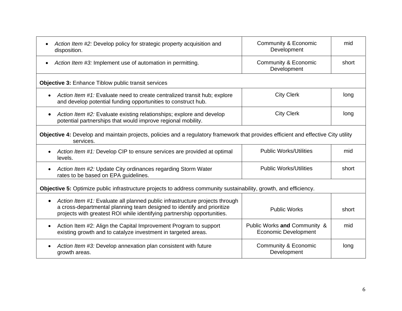| Action Item #2: Develop policy for strategic property acquisition and<br>$\bullet$<br>disposition.                                                                                                                               | Community & Economic<br>Development                         | mid   |  |
|----------------------------------------------------------------------------------------------------------------------------------------------------------------------------------------------------------------------------------|-------------------------------------------------------------|-------|--|
| Action Item #3: Implement use of automation in permitting.<br>$\bullet$                                                                                                                                                          | Community & Economic<br>Development                         | short |  |
| <b>Objective 3: Enhance Tiblow public transit services</b>                                                                                                                                                                       |                                                             |       |  |
| Action Item #1: Evaluate need to create centralized transit hub; explore<br>and develop potential funding opportunities to construct hub.                                                                                        | <b>City Clerk</b>                                           | long  |  |
| Action Item #2: Evaluate existing relationships; explore and develop<br>potential partnerships that would improve regional mobility.                                                                                             | <b>City Clerk</b>                                           | long  |  |
| Objective 4: Develop and maintain projects, policies and a regulatory framework that provides efficient and effective City utility<br>services.                                                                                  |                                                             |       |  |
| Action Item #1: Develop CIP to ensure services are provided at optimal<br>levels.                                                                                                                                                | <b>Public Works/Utilities</b>                               | mid   |  |
| Action Item #2: Update City ordinances regarding Storm Water<br>rates to be based on EPA guidelines.                                                                                                                             | <b>Public Works/Utilities</b>                               | short |  |
| Objective 5: Optimize public infrastructure projects to address community sustainability, growth, and efficiency.                                                                                                                |                                                             |       |  |
| Action Item #1: Evaluate all planned public infrastructure projects through<br>a cross-departmental planning team designed to identify and prioritize<br>projects with greatest ROI while identifying partnership opportunities. | <b>Public Works</b>                                         | short |  |
| Action Item #2: Align the Capital Improvement Program to support<br>$\bullet$<br>existing growth and to catalyze investment in targeted areas.                                                                                   | Public Works and Community &<br><b>Economic Development</b> | mid   |  |
| Action Item #3: Develop annexation plan consistent with future<br>growth areas.                                                                                                                                                  | <b>Community &amp; Economic</b><br>Development              | long  |  |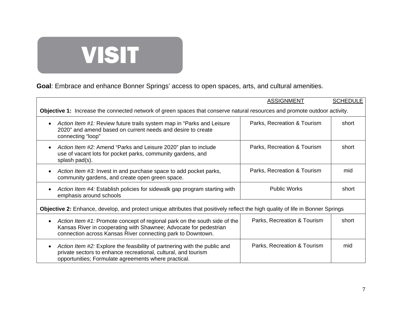# VISIT

**Goal**: Embrace and enhance Bonner Springs' access to open spaces, arts, and cultural amenities.

|                                                                                                                                                                                                               | <b>ASSIGNMENT</b>           | <b>SCHEDULE</b> |  |
|---------------------------------------------------------------------------------------------------------------------------------------------------------------------------------------------------------------|-----------------------------|-----------------|--|
| Objective 1: Increase the connected network of green spaces that conserve natural resources and promote outdoor activity.                                                                                     |                             |                 |  |
| Action Item #1: Review future trails system map in "Parks and Leisure"<br>2020" and amend based on current needs and desire to create<br>connecting "loop"                                                    | Parks, Recreation & Tourism | short           |  |
| Action Item #2: Amend "Parks and Leisure 2020" plan to include<br>use of vacant lots for pocket parks, community gardens, and<br>splash pad(s).                                                               | Parks, Recreation & Tourism | short           |  |
| Action Item #3: Invest in and purchase space to add pocket parks,<br>community gardens, and create open green space.                                                                                          | Parks, Recreation & Tourism | mid             |  |
| Action Item #4: Establish policies for sidewalk gap program starting with<br>emphasis around schools                                                                                                          | <b>Public Works</b>         | short           |  |
| <b>Objective 2:</b> Enhance, develop, and protect unique attributes that positively reflect the high quality of life in Bonner Springs                                                                        |                             |                 |  |
| Action Item #1: Promote concept of regional park on the south side of the<br>Kansas River in cooperating with Shawnee; Advocate for pedestrian<br>connection across Kansas River connecting park to Downtown. | Parks, Recreation & Tourism | short           |  |
| Action Item #2: Explore the feasibility of partnering with the public and<br>private sectors to enhance recreational, cultural, and tourism<br>opportunities; Formulate agreements where practical.           | Parks, Recreation & Tourism | mid             |  |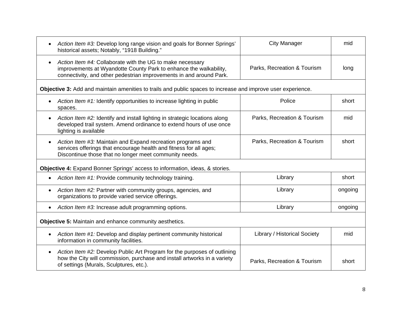| Action Item #3: Develop long range vision and goals for Bonner Springs'<br>historical assets; Notably, "1918 Building."                                                                                            | <b>City Manager</b>          | mid     |  |
|--------------------------------------------------------------------------------------------------------------------------------------------------------------------------------------------------------------------|------------------------------|---------|--|
| Action Item #4: Collaborate with the UG to make necessary<br>$\bullet$<br>improvements at Wyandotte County Park to enhance the walkability,<br>connectivity, and other pedestrian improvements in and around Park. | Parks, Recreation & Tourism  | long    |  |
| Objective 3: Add and maintain amenities to trails and public spaces to increase and improve user experience.                                                                                                       |                              |         |  |
| Action Item #1: Identify opportunities to increase lighting in public<br>$\bullet$<br>spaces.                                                                                                                      | Police                       | short   |  |
| Action Item #2: Identify and install lighting in strategic locations along<br>developed trail system. Amend ordinance to extend hours of use once<br>lighting is available                                         | Parks, Recreation & Tourism  | mid     |  |
| Action Item #3: Maintain and Expand recreation programs and<br>$\bullet$<br>services offerings that encourage health and fitness for all ages;<br>Discontinue those that no longer meet community needs.           | Parks, Recreation & Tourism  | short   |  |
| <b>Objective 4:</b> Expand Bonner Springs' access to information, ideas, & stories.                                                                                                                                |                              |         |  |
| Action Item #1: Provide community technology training.<br>$\bullet$                                                                                                                                                | Library                      | short   |  |
| Action Item #2: Partner with community groups, agencies, and<br>$\bullet$<br>organizations to provide varied service offerings.                                                                                    | Library                      | ongoing |  |
| Action Item #3: Increase adult programming options.<br>$\bullet$                                                                                                                                                   | Library                      | ongoing |  |
| Objective 5: Maintain and enhance community aesthetics.                                                                                                                                                            |                              |         |  |
| Action Item #1: Develop and display pertinent community historical<br>information in community facilities.                                                                                                         | Library / Historical Society | mid     |  |
| Action Item #2: Develop Public Art Program for the purposes of outlining<br>$\bullet$<br>how the City will commission, purchase and install artworks in a variety<br>of settings (Murals, Sculptures, etc.).       | Parks, Recreation & Tourism  | short   |  |